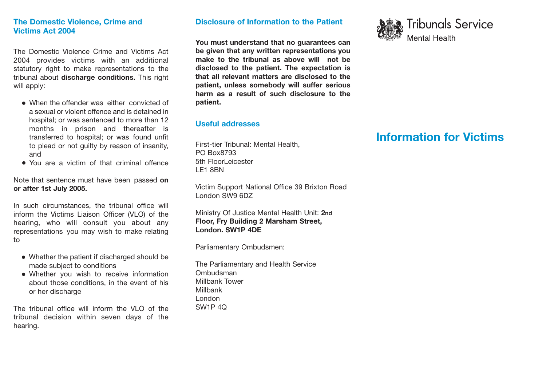# **The Domestic Violence, Crime and Victims Act 2004**

The Domestic Violence Crime and Victims Act 2004 provides victims with an additional statutory right to make representations to the tribunal about **discharge conditions.** This right will apply:

- When the offender was either convicted of a sexual or violent offence and is detained in hospital; or was sentenced to more than 12 months in prison and thereafter is transferred to hospital; or was found unfit to plead or not guilty by reason of insanity, and
- You are a victim of that criminal offence

Note that sentence must have been passed **on or after 1st July 2005.**

In such circumstances, the tribunal office will inform the Victims Liaison Officer (VLO) of the hearing, who will consult you about any representations you may wish to make relating to

- Whether the patient if discharged should be made subject to conditions
- Whether you wish to receive information about those conditions, in the event of his or her discharge

The tribunal office will inform the VLO of the tribunal decision within seven days of the hearing.

## **Disclosure of Information to the Patient**

**You must understand that no guarantees can be given that any written representations you make to the tribunal as above will not be disclosed to the patient. The expectation is that all relevant matters are disclosed to the patient, unless somebody will suffer serious harm as a result of such disclosure to the patient.**

## **Useful addresses**

First-tier Tribunal: Mental Health, PO Box8793 5th FloorLeicester LE1 8BN

Victim Support National Office 39 Brixton Road London SW9 6DZ

Ministry Of Justice Mental Health Unit: **2nd Floor, Fry Building 2 Marsham Street, London. SW1P 4DE**

Parliamentary Ombudsmen:

The Parliamentary and Health Service Ombudsman Millbank Tower Millbank London SW1P 4Q



# **Information for Victims**